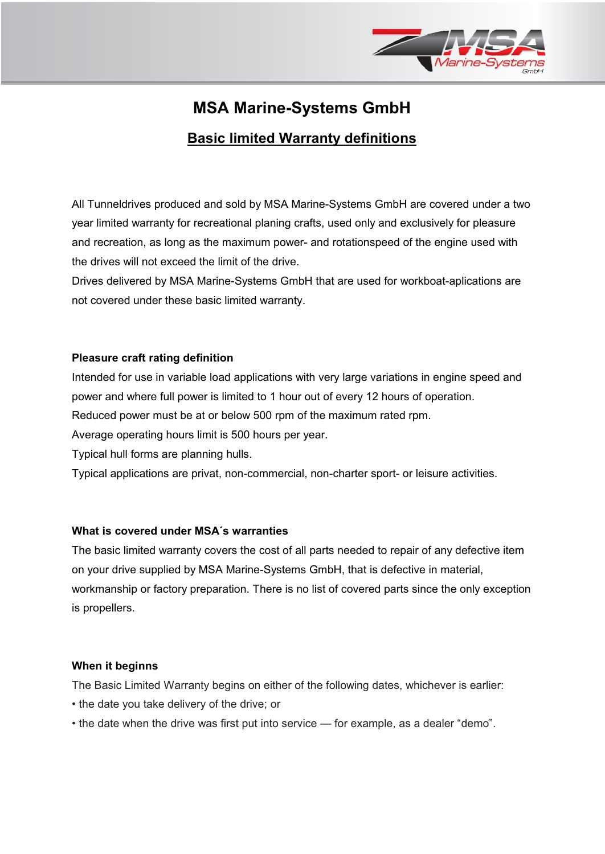

# **MSA Marine-Systems GmbH**

# **Basic limited Warranty definitions**

All Tunneldrives produced and sold by MSA Marine-Systems GmbH are covered under a two year limited warranty for recreational planing crafts, used only and exclusively for pleasure and recreation, as long as the maximum power- and rotationspeed of the engine used with the drives will not exceed the limit of the drive.

Drives delivered by MSA Marine-Systems GmbH that are used for workboat-aplications are not covered under these basic limited warranty.

# **Pleasure craft rating definition**

Intended for use in variable load applications with very large variations in engine speed and power and where full power is limited to 1 hour out of every 12 hours of operation.

Reduced power must be at or below 500 rpm of the maximum rated rpm.

Average operating hours limit is 500 hours per year.

Typical hull forms are planning hulls.

Typical applications are privat, non-commercial, non-charter sport- or leisure activities.

# **What is covered under MSA´s warranties**

The basic limited warranty covers the cost of all parts needed to repair of any defective item on your drive supplied by MSA Marine-Systems GmbH, that is defective in material, workmanship or factory preparation. There is no list of covered parts since the only exception is propellers.

# **When it beginns**

The Basic Limited Warranty begins on either of the following dates, whichever is earlier:

- the date you take delivery of the drive; or
- the date when the drive was first put into service for example, as a dealer "demo".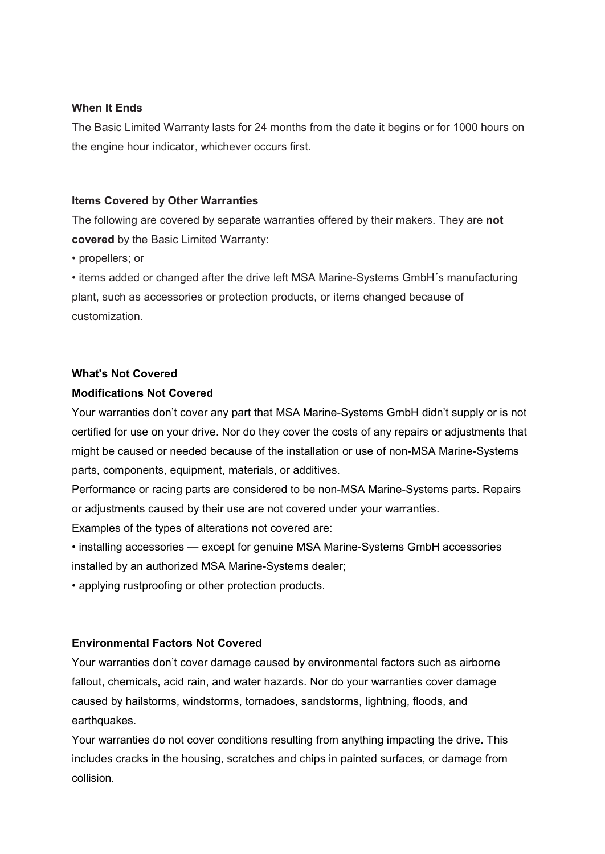# **When It Ends**

The Basic Limited Warranty lasts for 24 months from the date it begins or for 1000 hours on the engine hour indicator, whichever occurs first.

# **Items Covered by Other Warranties**

The following are covered by separate warranties offered by their makers. They are **not covered** by the Basic Limited Warranty:

• propellers; or

• items added or changed after the drive left MSA Marine-Systems GmbH´s manufacturing plant, such as accessories or protection products, or items changed because of customization.

# **What's Not Covered**

# **Modifications Not Covered**

Your warranties don't cover any part that MSA Marine-Systems GmbH didn't supply or is not certified for use on your drive. Nor do they cover the costs of any repairs or adjustments that might be caused or needed because of the installation or use of non-MSA Marine-Systems parts, components, equipment, materials, or additives.

Performance or racing parts are considered to be non-MSA Marine-Systems parts. Repairs or adjustments caused by their use are not covered under your warranties.

Examples of the types of alterations not covered are:

• installing accessories — except for genuine MSA Marine-Systems GmbH accessories installed by an authorized MSA Marine-Systems dealer;

• applying rustproofing or other protection products.

# **Environmental Factors Not Covered**

Your warranties don't cover damage caused by environmental factors such as airborne fallout, chemicals, acid rain, and water hazards. Nor do your warranties cover damage caused by hailstorms, windstorms, tornadoes, sandstorms, lightning, floods, and earthquakes.

Your warranties do not cover conditions resulting from anything impacting the drive. This includes cracks in the housing, scratches and chips in painted surfaces, or damage from collision.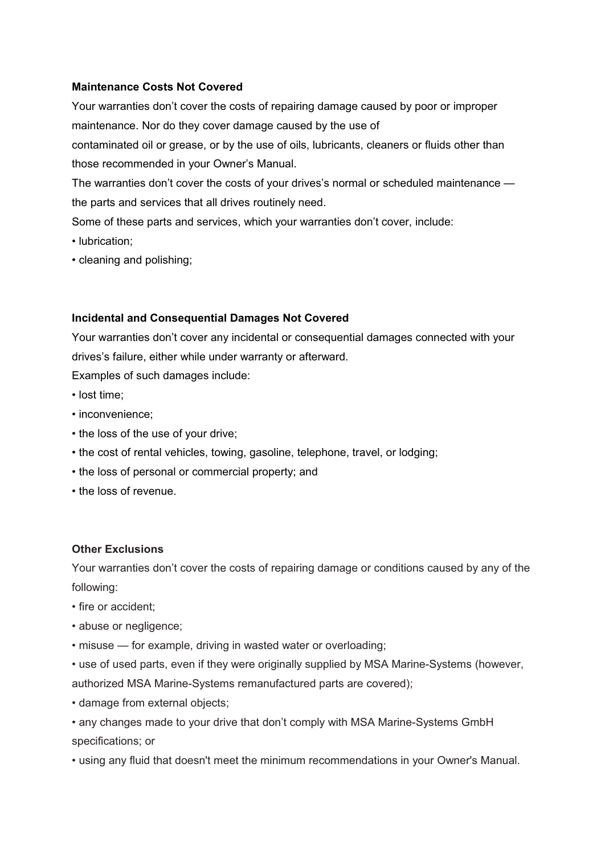# **Maintenance Costs Not Covered**

Your warranties don't cover the costs of repairing damage caused by poor or improper maintenance. Nor do they cover damage caused by the use of

contaminated oil or grease, or by the use of oils, lubricants, cleaners or fluids other than those recommended in your Owner's Manual.

The warranties don't cover the costs of your drives's normal or scheduled maintenance the parts and services that all drives routinely need.

Some of these parts and services, which your warranties don't cover, include:

- lubrication;
- cleaning and polishing;

#### **Incidental and Consequential Damages Not Covered**

Your warranties don't cover any incidental or consequential damages connected with your drives's failure, either while under warranty or afterward.

Examples of such damages include:

- lost time;
- inconvenience;
- the loss of the use of your drive;
- the cost of rental vehicles, towing, gasoline, telephone, travel, or lodging;
- the loss of personal or commercial property; and
- the loss of revenue.

#### **Other Exclusions**

Your warranties don't cover the costs of repairing damage or conditions caused by any of the following:

- fire or accident;
- abuse or negligence;
- misuse for example, driving in wasted water or overloading;

• use of used parts, even if they were originally supplied by MSA Marine-Systems (however, authorized MSA Marine-Systems remanufactured parts are covered);

• damage from external objects;

• any changes made to your drive that don't comply with MSA Marine-Systems GmbH specifications; or

• using any fluid that doesn't meet the minimum recommendations in your Owner's Manual.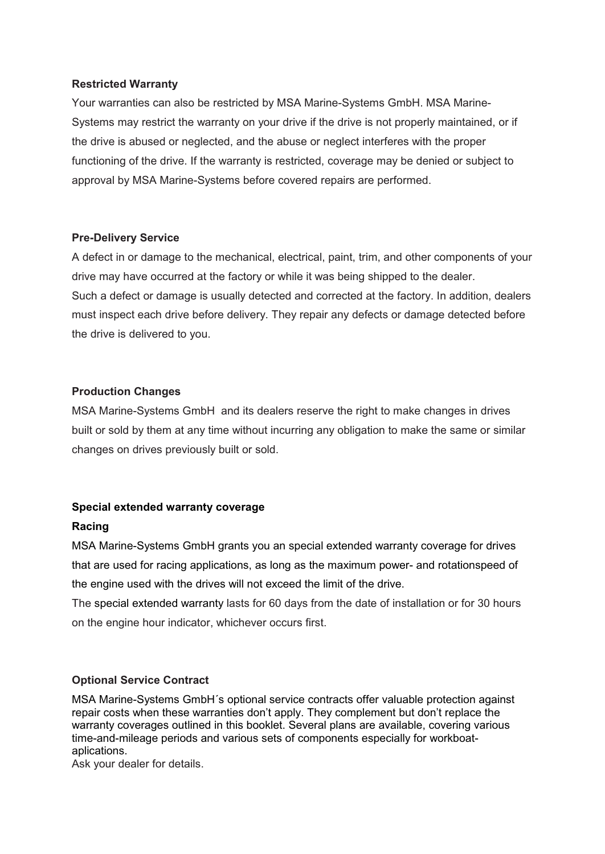# **Restricted Warranty**

Your warranties can also be restricted by MSA Marine-Systems GmbH. MSA Marine-Systems may restrict the warranty on your drive if the drive is not properly maintained, or if the drive is abused or neglected, and the abuse or neglect interferes with the proper functioning of the drive. If the warranty is restricted, coverage may be denied or subject to approval by MSA Marine-Systems before covered repairs are performed.

#### **Pre-Delivery Service**

A defect in or damage to the mechanical, electrical, paint, trim, and other components of your drive may have occurred at the factory or while it was being shipped to the dealer. Such a defect or damage is usually detected and corrected at the factory. In addition, dealers must inspect each drive before delivery. They repair any defects or damage detected before the drive is delivered to you.

# **Production Changes**

MSA Marine-Systems GmbH and its dealers reserve the right to make changes in drives built or sold by them at any time without incurring any obligation to make the same or similar changes on drives previously built or sold.

# **Special extended warranty coverage**

# **Racing**

MSA Marine-Systems GmbH grants you an special extended warranty coverage for drives that are used for racing applications, as long as the maximum power- and rotationspeed of the engine used with the drives will not exceed the limit of the drive.

The special extended warranty lasts for 60 days from the date of installation or for 30 hours on the engine hour indicator, whichever occurs first.

# **Optional Service Contract**

MSA Marine-Systems GmbH´s optional service contracts offer valuable protection against repair costs when these warranties don't apply. They complement but don't replace the warranty coverages outlined in this booklet. Several plans are available, covering various time-and-mileage periods and various sets of components especially for workboataplications.

Ask your dealer for details.